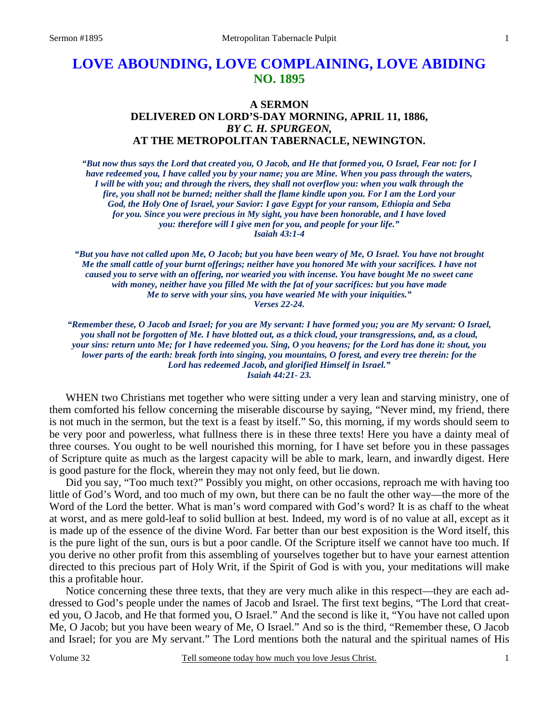## **LOVE ABOUNDING, LOVE COMPLAINING, LOVE ABIDING NO. 1895**

## **A SERMON DELIVERED ON LORD'S-DAY MORNING, APRIL 11, 1886,**  *BY C. H. SPURGEON,*  **AT THE METROPOLITAN TABERNACLE, NEWINGTON.**

*"But now thus says the Lord that created you, O Jacob, and He that formed you, O Israel, Fear not: for I have redeemed you, I have called you by your name; you are Mine. When you pass through the waters, I will be with you; and through the rivers, they shall not overflow you: when you walk through the fire, you shall not be burned; neither shall the flame kindle upon you. For I am the Lord your God, the Holy One of Israel, your Savior: I gave Egypt for your ransom, Ethiopia and Seba for you. Since you were precious in My sight, you have been honorable, and I have loved you: therefore will I give men for you, and people for your life." Isaiah 43:1-4* 

*"But you have not called upon Me, O Jacob; but you have been weary of Me, O Israel. You have not brought Me the small cattle of your burnt offerings; neither have you honored Me with your sacrifices. I have not caused you to serve with an offering, nor wearied you with incense. You have bought Me no sweet cane with money, neither have you filled Me with the fat of your sacrifices: but you have made Me to serve with your sins, you have wearied Me with your iniquities." Verses 22-24.* 

*"Remember these, O Jacob and Israel; for you are My servant: I have formed you; you are My servant: O Israel, you shall not be forgotten of Me. I have blotted out, as a thick cloud, your transgressions, and, as a cloud, your sins: return unto Me; for I have redeemed you. Sing, O you heavens; for the Lord has done it: shout, you lower parts of the earth: break forth into singing, you mountains, O forest, and every tree therein: for the Lord has redeemed Jacob, and glorified Himself in Israel." Isaiah 44:21- 23.* 

WHEN two Christians met together who were sitting under a very lean and starving ministry, one of them comforted his fellow concerning the miserable discourse by saying, "Never mind, my friend, there is not much in the sermon, but the text is a feast by itself." So, this morning, if my words should seem to be very poor and powerless, what fullness there is in these three texts! Here you have a dainty meal of three courses. You ought to be well nourished this morning, for I have set before you in these passages of Scripture quite as much as the largest capacity will be able to mark, learn, and inwardly digest. Here is good pasture for the flock, wherein they may not only feed, but lie down.

 Did you say, "Too much text?" Possibly you might, on other occasions, reproach me with having too little of God's Word, and too much of my own, but there can be no fault the other way—the more of the Word of the Lord the better. What is man's word compared with God's word? It is as chaff to the wheat at worst, and as mere gold-leaf to solid bullion at best. Indeed, my word is of no value at all, except as it is made up of the essence of the divine Word. Far better than our best exposition is the Word itself, this is the pure light of the sun, ours is but a poor candle. Of the Scripture itself we cannot have too much. If you derive no other profit from this assembling of yourselves together but to have your earnest attention directed to this precious part of Holy Writ, if the Spirit of God is with you, your meditations will make this a profitable hour.

 Notice concerning these three texts, that they are very much alike in this respect—they are each addressed to God's people under the names of Jacob and Israel. The first text begins, "The Lord that created you, O Jacob, and He that formed you, O Israel." And the second is like it, "You have not called upon Me, O Jacob; but you have been weary of Me, O Israel." And so is the third, "Remember these, O Jacob and Israel; for you are My servant." The Lord mentions both the natural and the spiritual names of His

Volume 32 Tell someone today how much you love Jesus Christ.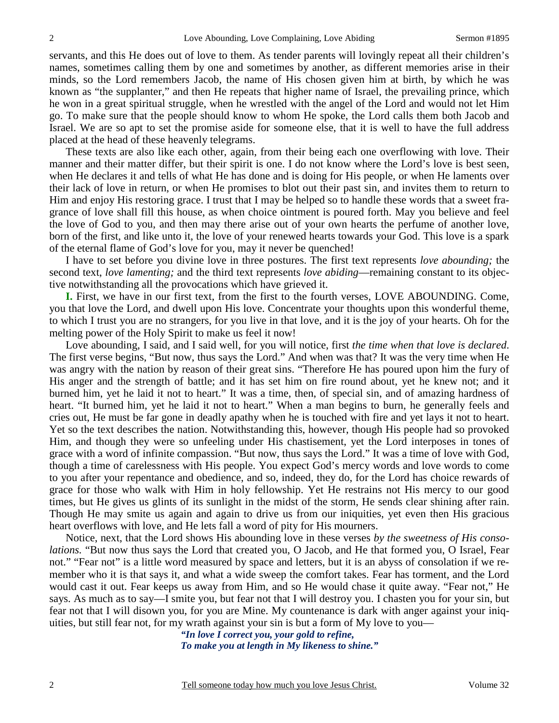servants, and this He does out of love to them. As tender parents will lovingly repeat all their children's names, sometimes calling them by one and sometimes by another, as different memories arise in their minds, so the Lord remembers Jacob, the name of His chosen given him at birth, by which he was known as "the supplanter," and then He repeats that higher name of Israel, the prevailing prince, which he won in a great spiritual struggle, when he wrestled with the angel of the Lord and would not let Him go. To make sure that the people should know to whom He spoke, the Lord calls them both Jacob and Israel. We are so apt to set the promise aside for someone else, that it is well to have the full address placed at the head of these heavenly telegrams.

 These texts are also like each other, again, from their being each one overflowing with love. Their manner and their matter differ, but their spirit is one. I do not know where the Lord's love is best seen, when He declares it and tells of what He has done and is doing for His people, or when He laments over their lack of love in return, or when He promises to blot out their past sin, and invites them to return to Him and enjoy His restoring grace. I trust that I may be helped so to handle these words that a sweet fragrance of love shall fill this house, as when choice ointment is poured forth. May you believe and feel the love of God to you, and then may there arise out of your own hearts the perfume of another love, born of the first, and like unto it, the love of your renewed hearts towards your God. This love is a spark of the eternal flame of God's love for you, may it never be quenched!

 I have to set before you divine love in three postures. The first text represents *love abounding;* the second text, *love lamenting;* and the third text represents *love abiding*—remaining constant to its objective notwithstanding all the provocations which have grieved it.

**I.** First, we have in our first text, from the first to the fourth verses, LOVE ABOUNDING. Come, you that love the Lord, and dwell upon His love. Concentrate your thoughts upon this wonderful theme, to which I trust you are no strangers, for you live in that love, and it is the joy of your hearts. Oh for the melting power of the Holy Spirit to make us feel it now!

 Love abounding, I said, and I said well, for you will notice, first *the time when that love is declared*. The first verse begins, "But now, thus says the Lord." And when was that? It was the very time when He was angry with the nation by reason of their great sins. "Therefore He has poured upon him the fury of His anger and the strength of battle; and it has set him on fire round about, yet he knew not; and it burned him, yet he laid it not to heart." It was a time, then, of special sin, and of amazing hardness of heart. "It burned him, yet he laid it not to heart." When a man begins to burn, he generally feels and cries out, He must be far gone in deadly apathy when he is touched with fire and yet lays it not to heart. Yet so the text describes the nation. Notwithstanding this, however, though His people had so provoked Him, and though they were so unfeeling under His chastisement, yet the Lord interposes in tones of grace with a word of infinite compassion. "But now, thus says the Lord." It was a time of love with God, though a time of carelessness with His people. You expect God's mercy words and love words to come to you after your repentance and obedience, and so, indeed, they do, for the Lord has choice rewards of grace for those who walk with Him in holy fellowship. Yet He restrains not His mercy to our good times, but He gives us glints of its sunlight in the midst of the storm, He sends clear shining after rain. Though He may smite us again and again to drive us from our iniquities, yet even then His gracious heart overflows with love, and He lets fall a word of pity for His mourners.

 Notice, next, that the Lord shows His abounding love in these verses *by the sweetness of His consolations.* "But now thus says the Lord that created you, O Jacob, and He that formed you, O Israel, Fear not." "Fear not" is a little word measured by space and letters, but it is an abyss of consolation if we remember who it is that says it, and what a wide sweep the comfort takes. Fear has torment, and the Lord would cast it out. Fear keeps us away from Him, and so He would chase it quite away. "Fear not," He says. As much as to say—I smite you, but fear not that I will destroy you. I chasten you for your sin, but fear not that I will disown you, for you are Mine. My countenance is dark with anger against your iniquities, but still fear not, for my wrath against your sin is but a form of My love to you—

*"In love I correct you, your gold to refine, To make you at length in My likeness to shine."*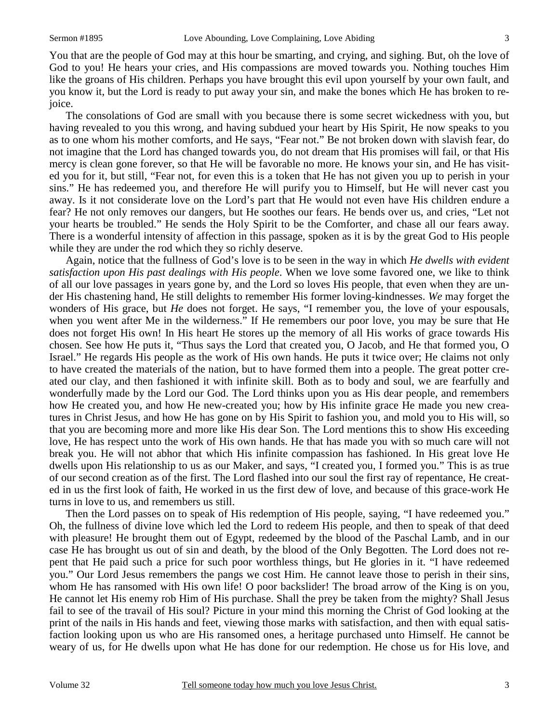You that are the people of God may at this hour be smarting, and crying, and sighing. But, oh the love of God to you! He hears your cries, and His compassions are moved towards you. Nothing touches Him like the groans of His children. Perhaps you have brought this evil upon yourself by your own fault, and you know it, but the Lord is ready to put away your sin, and make the bones which He has broken to rejoice.

 The consolations of God are small with you because there is some secret wickedness with you, but having revealed to you this wrong, and having subdued your heart by His Spirit, He now speaks to you as to one whom his mother comforts, and He says, "Fear not." Be not broken down with slavish fear, do not imagine that the Lord has changed towards you, do not dream that His promises will fail, or that His mercy is clean gone forever, so that He will be favorable no more. He knows your sin, and He has visited you for it, but still, "Fear not, for even this is a token that He has not given you up to perish in your sins." He has redeemed you, and therefore He will purify you to Himself, but He will never cast you away. Is it not considerate love on the Lord's part that He would not even have His children endure a fear? He not only removes our dangers, but He soothes our fears. He bends over us, and cries, "Let not your hearts be troubled." He sends the Holy Spirit to be the Comforter, and chase all our fears away. There is a wonderful intensity of affection in this passage, spoken as it is by the great God to His people while they are under the rod which they so richly deserve.

 Again, notice that the fullness of God's love is to be seen in the way in which *He dwells with evident satisfaction upon His past dealings with His people*. When we love some favored one, we like to think of all our love passages in years gone by, and the Lord so loves His people, that even when they are under His chastening hand, He still delights to remember His former loving-kindnesses. *We* may forget the wonders of His grace, but *He* does not forget. He says, "I remember you, the love of your espousals, when you went after Me in the wilderness." If He remembers our poor love, you may be sure that He does not forget His own! In His heart He stores up the memory of all His works of grace towards His chosen. See how He puts it, "Thus says the Lord that created you, O Jacob, and He that formed you, O Israel." He regards His people as the work of His own hands. He puts it twice over; He claims not only to have created the materials of the nation, but to have formed them into a people. The great potter created our clay, and then fashioned it with infinite skill. Both as to body and soul, we are fearfully and wonderfully made by the Lord our God. The Lord thinks upon you as His dear people, and remembers how He created you, and how He new-created you; how by His infinite grace He made you new creatures in Christ Jesus, and how He has gone on by His Spirit to fashion you, and mold you to His will, so that you are becoming more and more like His dear Son. The Lord mentions this to show His exceeding love, He has respect unto the work of His own hands. He that has made you with so much care will not break you. He will not abhor that which His infinite compassion has fashioned. In His great love He dwells upon His relationship to us as our Maker, and says, "I created you, I formed you." This is as true of our second creation as of the first. The Lord flashed into our soul the first ray of repentance, He created in us the first look of faith, He worked in us the first dew of love, and because of this grace-work He turns in love to us, and remembers us still.

 Then the Lord passes on to speak of His redemption of His people, saying, "I have redeemed you." Oh, the fullness of divine love which led the Lord to redeem His people, and then to speak of that deed with pleasure! He brought them out of Egypt, redeemed by the blood of the Paschal Lamb, and in our case He has brought us out of sin and death, by the blood of the Only Begotten. The Lord does not repent that He paid such a price for such poor worthless things, but He glories in it. "I have redeemed you." Our Lord Jesus remembers the pangs we cost Him. He cannot leave those to perish in their sins, whom He has ransomed with His own life! O poor backslider! The broad arrow of the King is on you, He cannot let His enemy rob Him of His purchase. Shall the prey be taken from the mighty? Shall Jesus fail to see of the travail of His soul? Picture in your mind this morning the Christ of God looking at the print of the nails in His hands and feet, viewing those marks with satisfaction, and then with equal satisfaction looking upon us who are His ransomed ones, a heritage purchased unto Himself. He cannot be weary of us, for He dwells upon what He has done for our redemption. He chose us for His love, and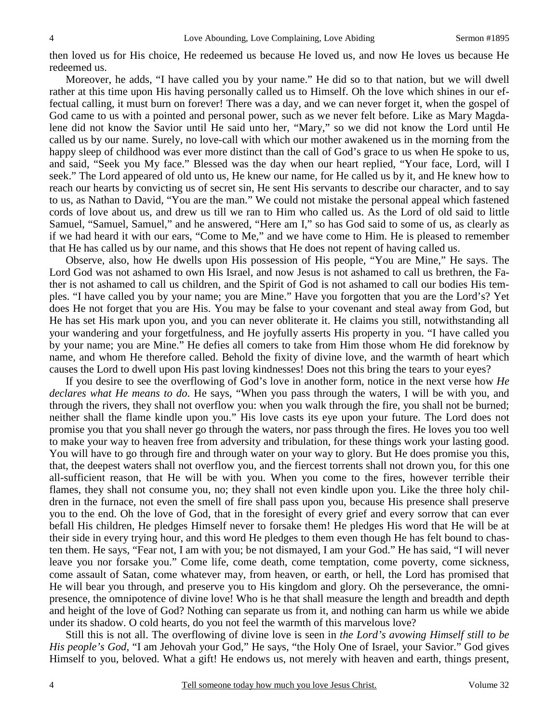then loved us for His choice, He redeemed us because He loved us, and now He loves us because He redeemed us.

 Moreover, he adds, "I have called you by your name." He did so to that nation, but we will dwell rather at this time upon His having personally called us to Himself. Oh the love which shines in our effectual calling, it must burn on forever! There was a day, and we can never forget it, when the gospel of God came to us with a pointed and personal power, such as we never felt before. Like as Mary Magdalene did not know the Savior until He said unto her, "Mary," so we did not know the Lord until He called us by our name. Surely, no love-call with which our mother awakened us in the morning from the happy sleep of childhood was ever more distinct than the call of God's grace to us when He spoke to us, and said, "Seek you My face." Blessed was the day when our heart replied, "Your face, Lord, will I seek." The Lord appeared of old unto us, He knew our name, for He called us by it, and He knew how to reach our hearts by convicting us of secret sin, He sent His servants to describe our character, and to say to us, as Nathan to David, "You are the man." We could not mistake the personal appeal which fastened cords of love about us, and drew us till we ran to Him who called us. As the Lord of old said to little Samuel, "Samuel, Samuel," and he answered, "Here am I," so has God said to some of us, as clearly as if we had heard it with our ears, "Come to Me," and we have come to Him. He is pleased to remember that He has called us by our name, and this shows that He does not repent of having called us.

 Observe, also, how He dwells upon His possession of His people, "You are Mine," He says. The Lord God was not ashamed to own His Israel, and now Jesus is not ashamed to call us brethren, the Father is not ashamed to call us children, and the Spirit of God is not ashamed to call our bodies His temples. "I have called you by your name; you are Mine." Have you forgotten that you are the Lord's? Yet does He not forget that you are His. You may be false to your covenant and steal away from God, but He has set His mark upon you, and you can never obliterate it. He claims you still, notwithstanding all your wandering and your forgetfulness, and He joyfully asserts His property in you. "I have called you by your name; you are Mine." He defies all comers to take from Him those whom He did foreknow by name, and whom He therefore called. Behold the fixity of divine love, and the warmth of heart which causes the Lord to dwell upon His past loving kindnesses! Does not this bring the tears to your eyes?

 If you desire to see the overflowing of God's love in another form, notice in the next verse how *He declares what He means to do*. He says, "When you pass through the waters, I will be with you, and through the rivers, they shall not overflow you: when you walk through the fire, you shall not be burned; neither shall the flame kindle upon you." His love casts its eye upon your future. The Lord does not promise you that you shall never go through the waters, nor pass through the fires. He loves you too well to make your way to heaven free from adversity and tribulation, for these things work your lasting good. You will have to go through fire and through water on your way to glory. But He does promise you this, that, the deepest waters shall not overflow you, and the fiercest torrents shall not drown you, for this one all-sufficient reason, that He will be with you. When you come to the fires, however terrible their flames, they shall not consume you, no; they shall not even kindle upon you. Like the three holy children in the furnace, not even the smell of fire shall pass upon you, because His presence shall preserve you to the end. Oh the love of God, that in the foresight of every grief and every sorrow that can ever befall His children, He pledges Himself never to forsake them! He pledges His word that He will be at their side in every trying hour, and this word He pledges to them even though He has felt bound to chasten them. He says, "Fear not, I am with you; be not dismayed, I am your God." He has said, "I will never leave you nor forsake you." Come life, come death, come temptation, come poverty, come sickness, come assault of Satan, come whatever may, from heaven, or earth, or hell, the Lord has promised that He will bear you through, and preserve you to His kingdom and glory. Oh the perseverance, the omnipresence, the omnipotence of divine love! Who is he that shall measure the length and breadth and depth and height of the love of God? Nothing can separate us from it, and nothing can harm us while we abide under its shadow. O cold hearts, do you not feel the warmth of this marvelous love?

 Still this is not all. The overflowing of divine love is seen in *the Lord's avowing Himself still to be His people's God*, "I am Jehovah your God," He says, "the Holy One of Israel, your Savior." God gives Himself to you, beloved. What a gift! He endows us, not merely with heaven and earth, things present,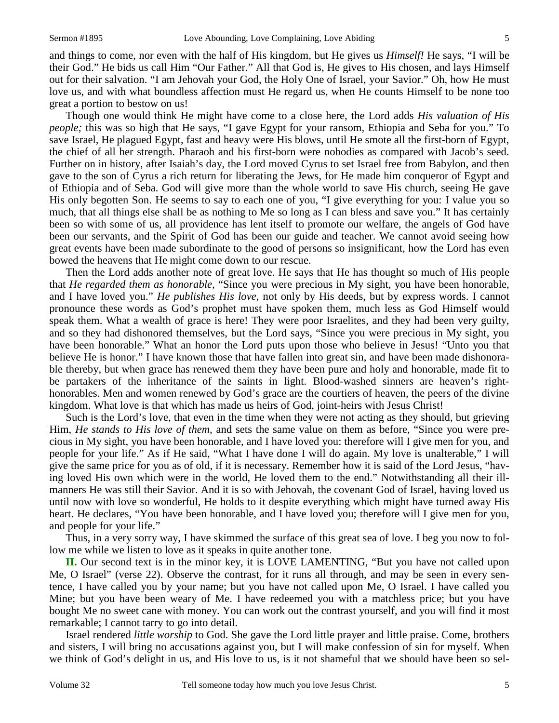and things to come, nor even with the half of His kingdom, but He gives us *Himself!* He says, "I will be their God." He bids us call Him "Our Father." All that God is, He gives to His chosen, and lays Himself out for their salvation. "I am Jehovah your God, the Holy One of Israel, your Savior." Oh, how He must love us, and with what boundless affection must He regard us, when He counts Himself to be none too great a portion to bestow on us!

 Though one would think He might have come to a close here, the Lord adds *His valuation of His people;* this was so high that He says, "I gave Egypt for your ransom, Ethiopia and Seba for you." To save Israel, He plagued Egypt, fast and heavy were His blows, until He smote all the first-born of Egypt, the chief of all her strength. Pharaoh and his first-born were nobodies as compared with Jacob's seed. Further on in history, after Isaiah's day, the Lord moved Cyrus to set Israel free from Babylon, and then gave to the son of Cyrus a rich return for liberating the Jews, for He made him conqueror of Egypt and of Ethiopia and of Seba. God will give more than the whole world to save His church, seeing He gave His only begotten Son. He seems to say to each one of you, "I give everything for you: I value you so much, that all things else shall be as nothing to Me so long as I can bless and save you." It has certainly been so with some of us, all providence has lent itself to promote our welfare, the angels of God have been our servants, and the Spirit of God has been our guide and teacher. We cannot avoid seeing how great events have been made subordinate to the good of persons so insignificant, how the Lord has even bowed the heavens that He might come down to our rescue.

 Then the Lord adds another note of great love. He says that He has thought so much of His people that *He regarded them as honorable,* "Since you were precious in My sight, you have been honorable, and I have loved you." *He publishes His love,* not only by His deeds, but by express words. I cannot pronounce these words as God's prophet must have spoken them, much less as God Himself would speak them. What a wealth of grace is here! They were poor Israelites, and they had been very guilty, and so they had dishonored themselves, but the Lord says, "Since you were precious in My sight, you have been honorable." What an honor the Lord puts upon those who believe in Jesus! "Unto you that believe He is honor." I have known those that have fallen into great sin, and have been made dishonorable thereby, but when grace has renewed them they have been pure and holy and honorable, made fit to be partakers of the inheritance of the saints in light. Blood-washed sinners are heaven's righthonorables. Men and women renewed by God's grace are the courtiers of heaven, the peers of the divine kingdom. What love is that which has made us heirs of God, joint-heirs with Jesus Christ!

 Such is the Lord's love, that even in the time when they were not acting as they should, but grieving Him, *He stands to His love of them,* and sets the same value on them as before, "Since you were precious in My sight, you have been honorable, and I have loved you: therefore will I give men for you, and people for your life." As if He said, "What I have done I will do again. My love is unalterable," I will give the same price for you as of old, if it is necessary. Remember how it is said of the Lord Jesus, "having loved His own which were in the world, He loved them to the end." Notwithstanding all their illmanners He was still their Savior. And it is so with Jehovah, the covenant God of Israel, having loved us until now with love so wonderful, He holds to it despite everything which might have turned away His heart. He declares, "You have been honorable, and I have loved you; therefore will I give men for you, and people for your life."

 Thus, in a very sorry way, I have skimmed the surface of this great sea of love. I beg you now to follow me while we listen to love as it speaks in quite another tone.

**II.** Our second text is in the minor key, it is LOVE LAMENTING, "But you have not called upon Me, O Israel" (verse 22). Observe the contrast, for it runs all through, and may be seen in every sentence, I have called you by your name; but you have not called upon Me, O Israel. I have called you Mine; but you have been weary of Me. I have redeemed you with a matchless price; but you have bought Me no sweet cane with money. You can work out the contrast yourself, and you will find it most remarkable; I cannot tarry to go into detail.

 Israel rendered *little worship* to God. She gave the Lord little prayer and little praise. Come, brothers and sisters, I will bring no accusations against you, but I will make confession of sin for myself. When we think of God's delight in us, and His love to us, is it not shameful that we should have been so sel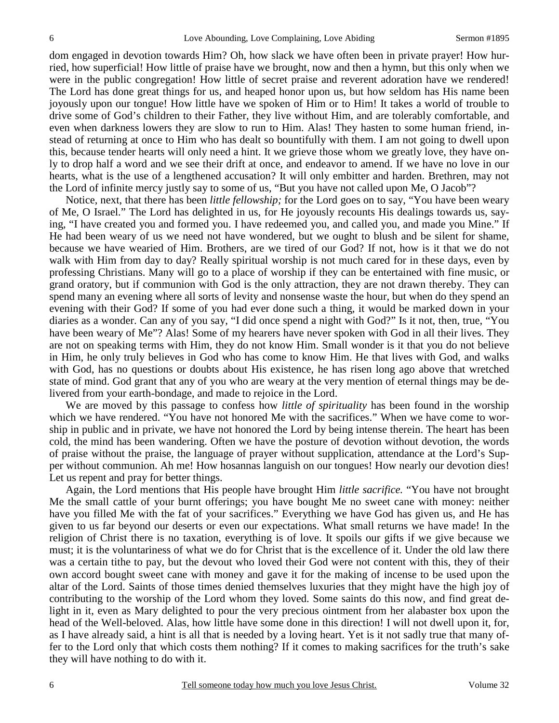dom engaged in devotion towards Him? Oh, how slack we have often been in private prayer! How hurried, how superficial! How little of praise have we brought, now and then a hymn, but this only when we were in the public congregation! How little of secret praise and reverent adoration have we rendered! The Lord has done great things for us, and heaped honor upon us, but how seldom has His name been joyously upon our tongue! How little have we spoken of Him or to Him! It takes a world of trouble to drive some of God's children to their Father, they live without Him, and are tolerably comfortable, and even when darkness lowers they are slow to run to Him. Alas! They hasten to some human friend, instead of returning at once to Him who has dealt so bountifully with them. I am not going to dwell upon this, because tender hearts will only need a hint. It we grieve those whom we greatly love, they have only to drop half a word and we see their drift at once, and endeavor to amend. If we have no love in our hearts, what is the use of a lengthened accusation? It will only embitter and harden. Brethren, may not the Lord of infinite mercy justly say to some of us, "But you have not called upon Me, O Jacob"?

 Notice, next, that there has been *little fellowship;* for the Lord goes on to say, "You have been weary of Me, O Israel." The Lord has delighted in us, for He joyously recounts His dealings towards us, saying, "I have created you and formed you. I have redeemed you, and called you, and made you Mine." If He had been weary of us we need not have wondered, but we ought to blush and be silent for shame, because we have wearied of Him. Brothers, are we tired of our God? If not, how is it that we do not walk with Him from day to day? Really spiritual worship is not much cared for in these days, even by professing Christians. Many will go to a place of worship if they can be entertained with fine music, or grand oratory, but if communion with God is the only attraction, they are not drawn thereby. They can spend many an evening where all sorts of levity and nonsense waste the hour, but when do they spend an evening with their God? If some of you had ever done such a thing, it would be marked down in your diaries as a wonder. Can any of you say, "I did once spend a night with God?" Is it not, then, true, "You have been weary of Me"? Alas! Some of my hearers have never spoken with God in all their lives. They are not on speaking terms with Him, they do not know Him. Small wonder is it that you do not believe in Him, he only truly believes in God who has come to know Him. He that lives with God, and walks with God, has no questions or doubts about His existence, he has risen long ago above that wretched state of mind. God grant that any of you who are weary at the very mention of eternal things may be delivered from your earth-bondage, and made to rejoice in the Lord.

 We are moved by this passage to confess how *little of spirituality* has been found in the worship which we have rendered. "You have not honored Me with the sacrifices." When we have come to worship in public and in private, we have not honored the Lord by being intense therein. The heart has been cold, the mind has been wandering. Often we have the posture of devotion without devotion, the words of praise without the praise, the language of prayer without supplication, attendance at the Lord's Supper without communion. Ah me! How hosannas languish on our tongues! How nearly our devotion dies! Let us repent and pray for better things.

 Again, the Lord mentions that His people have brought Him *little sacrifice.* "You have not brought Me the small cattle of your burnt offerings; you have bought Me no sweet cane with money: neither have you filled Me with the fat of your sacrifices." Everything we have God has given us, and He has given to us far beyond our deserts or even our expectations. What small returns we have made! In the religion of Christ there is no taxation, everything is of love. It spoils our gifts if we give because we must; it is the voluntariness of what we do for Christ that is the excellence of it. Under the old law there was a certain tithe to pay, but the devout who loved their God were not content with this, they of their own accord bought sweet cane with money and gave it for the making of incense to be used upon the altar of the Lord. Saints of those times denied themselves luxuries that they might have the high joy of contributing to the worship of the Lord whom they loved. Some saints do this now, and find great delight in it, even as Mary delighted to pour the very precious ointment from her alabaster box upon the head of the Well-beloved. Alas, how little have some done in this direction! I will not dwell upon it, for, as I have already said, a hint is all that is needed by a loving heart. Yet is it not sadly true that many offer to the Lord only that which costs them nothing? If it comes to making sacrifices for the truth's sake they will have nothing to do with it.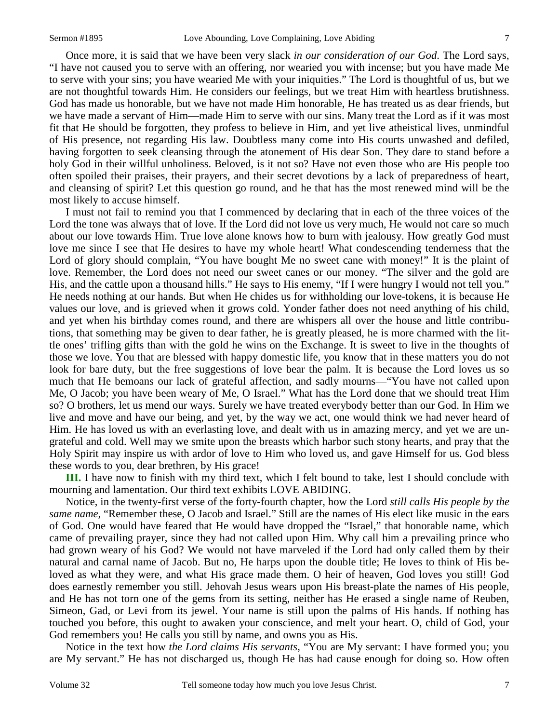Once more, it is said that we have been very slack *in our consideration of our God*. The Lord says, "I have not caused you to serve with an offering, nor wearied you with incense; but you have made Me to serve with your sins; you have wearied Me with your iniquities." The Lord is thoughtful of us, but we are not thoughtful towards Him. He considers our feelings, but we treat Him with heartless brutishness. God has made us honorable, but we have not made Him honorable, He has treated us as dear friends, but we have made a servant of Him—made Him to serve with our sins. Many treat the Lord as if it was most fit that He should be forgotten, they profess to believe in Him, and yet live atheistical lives, unmindful of His presence, not regarding His law. Doubtless many come into His courts unwashed and defiled, having forgotten to seek cleansing through the atonement of His dear Son. They dare to stand before a holy God in their willful unholiness. Beloved, is it not so? Have not even those who are His people too often spoiled their praises, their prayers, and their secret devotions by a lack of preparedness of heart, and cleansing of spirit? Let this question go round, and he that has the most renewed mind will be the most likely to accuse himself.

 I must not fail to remind you that I commenced by declaring that in each of the three voices of the Lord the tone was always that of love. If the Lord did not love us very much, He would not care so much about our love towards Him. True love alone knows how to burn with jealousy. How greatly God must love me since I see that He desires to have my whole heart! What condescending tenderness that the Lord of glory should complain, "You have bought Me no sweet cane with money!" It is the plaint of love. Remember, the Lord does not need our sweet canes or our money. "The silver and the gold are His, and the cattle upon a thousand hills." He says to His enemy, "If I were hungry I would not tell you." He needs nothing at our hands. But when He chides us for withholding our love-tokens, it is because He values our love, and is grieved when it grows cold. Yonder father does not need anything of his child, and yet when his birthday comes round, and there are whispers all over the house and little contributions, that something may be given to dear father, he is greatly pleased, he is more charmed with the little ones' trifling gifts than with the gold he wins on the Exchange. It is sweet to live in the thoughts of those we love. You that are blessed with happy domestic life, you know that in these matters you do not look for bare duty, but the free suggestions of love bear the palm. It is because the Lord loves us so much that He bemoans our lack of grateful affection, and sadly mourns—"You have not called upon Me, O Jacob; you have been weary of Me, O Israel." What has the Lord done that we should treat Him so? O brothers, let us mend our ways. Surely we have treated everybody better than our God. In Him we live and move and have our being, and yet, by the way we act, one would think we had never heard of Him. He has loved us with an everlasting love, and dealt with us in amazing mercy, and yet we are ungrateful and cold. Well may we smite upon the breasts which harbor such stony hearts, and pray that the Holy Spirit may inspire us with ardor of love to Him who loved us, and gave Himself for us. God bless these words to you, dear brethren, by His grace!

**III.** I have now to finish with my third text, which I felt bound to take, lest I should conclude with mourning and lamentation. Our third text exhibits LOVE ABIDING.

 Notice, in the twenty-first verse of the forty-fourth chapter, how the Lord *still calls His people by the same name,* "Remember these, O Jacob and Israel." Still are the names of His elect like music in the ears of God. One would have feared that He would have dropped the "Israel," that honorable name, which came of prevailing prayer, since they had not called upon Him. Why call him a prevailing prince who had grown weary of his God? We would not have marveled if the Lord had only called them by their natural and carnal name of Jacob. But no, He harps upon the double title; He loves to think of His beloved as what they were, and what His grace made them. O heir of heaven, God loves you still! God does earnestly remember you still. Jehovah Jesus wears upon His breast-plate the names of His people, and He has not torn one of the gems from its setting, neither has He erased a single name of Reuben, Simeon, Gad, or Levi from its jewel. Your name is still upon the palms of His hands. If nothing has touched you before, this ought to awaken your conscience, and melt your heart. O, child of God, your God remembers you! He calls you still by name, and owns you as His.

 Notice in the text how *the Lord claims His servants,* "You are My servant: I have formed you; you are My servant." He has not discharged us, though He has had cause enough for doing so. How often